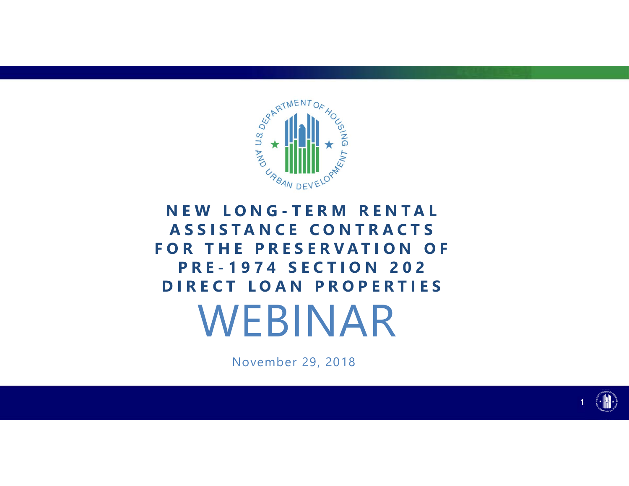

## WEBINAR **ASSISTANCE CONTRACTS FOR THE PRESERVATION OF PRE-1974 SECTION 202 DIRECT LOAN PROPERTIES**

November 29, 2018



**1**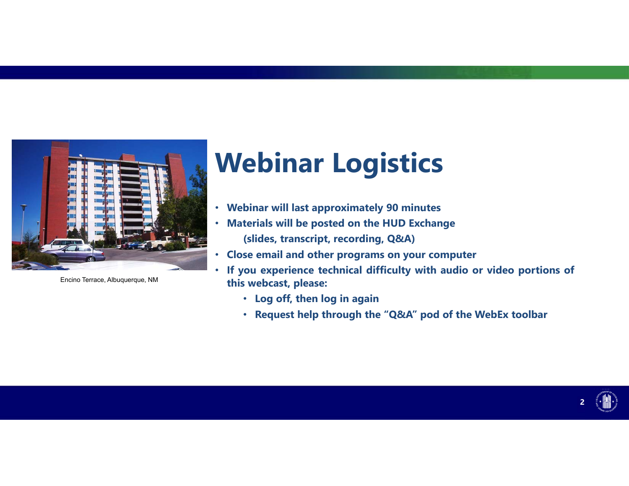

Encino Terrace, Albuquerque, NM

# **Webinar Logistics**

- **Webinar will last approximately 90 minutes**
- **Materials will be posted on the HUD Exchange (slides, transcript, recording, Q&A)**
- •**Close email and other programs on your computer**
- • **If you experience technical difficulty with audio or video portions of this webcast, please:** 
	- **Log off, then log in again**
	- **Request help through the "Q&A" pod of the WebEx toolbar**

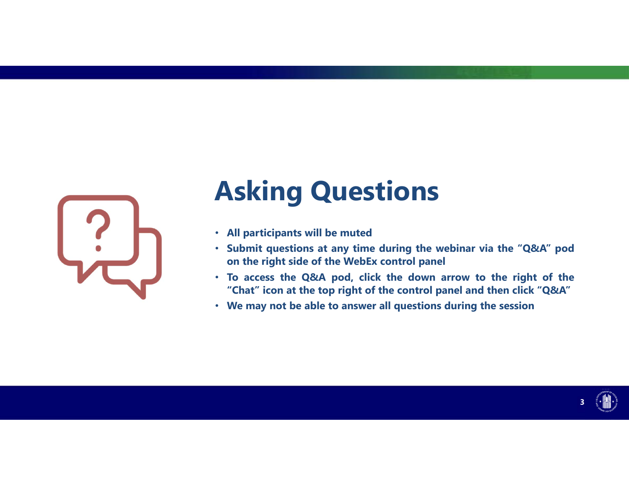

# **Asking Questions**

- **All participants will be muted**
- **Submit questions at any time during the webinar via the "Q&A" pod on the right side of the WebEx control panel**
- **To access the Q&A pod, click the down arrow to the right of the "Chat" icon at the top right of the control panel and then click "Q&A"**
- **We may not be able to answer all questions during the session**

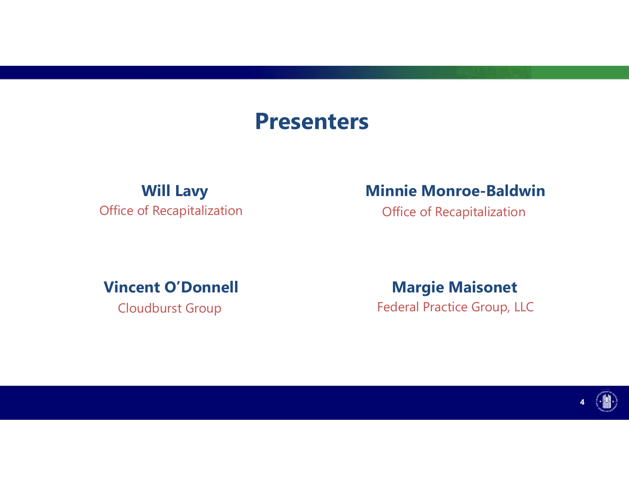### **Presenters**

Office of Recapitalization **Office of Recapitalization** 

### **Will Lavy Minnie Monroe-Baldwin**

**Vincent O'Donnell Margie Maisonet** Cloudburst Group Federal Practice Group, LLC

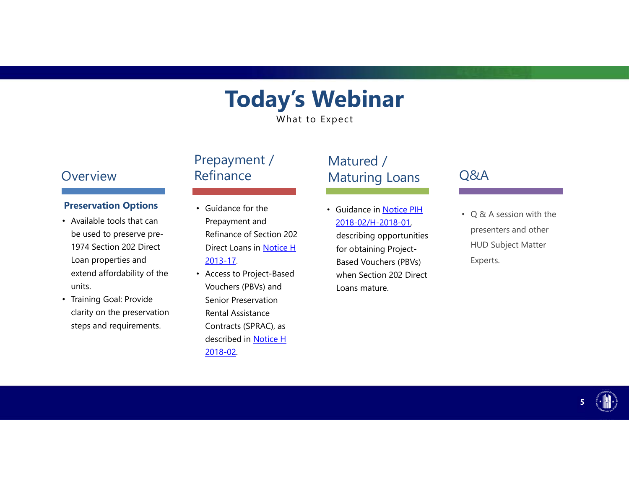## **Today's Webinar**

What to Expect

#### **Overview**

#### **Preservation Options**

- Available tools that can be used to preserve pre-1974 Section 202 Direct Loan properties and extend affordability of the units.
- Training Goal: Provide clarity on the preservation steps and requirements.

### Prepayment / Refinance

- Guidance for the Prepayment and Refinance of Section 202 Direct Loans in <u>Notice H</u> 2013-17.
- Access to Project-Based Vouchers (PBVs) and Senior Preservation Rental Assistance Contracts (SPRAC), as described in <u>Notice H</u> 2018-02.

### Matured / Maturing Loans

• Guidance in Notice PIH 2018-02/H-2018-01, describing opportunities for obtaining Project-Based Vouchers (PBVs) when Section 202 Direct Loans mature.

#### Q&A

• Q & A session with the presenters and other HUD Subject Matter Experts.

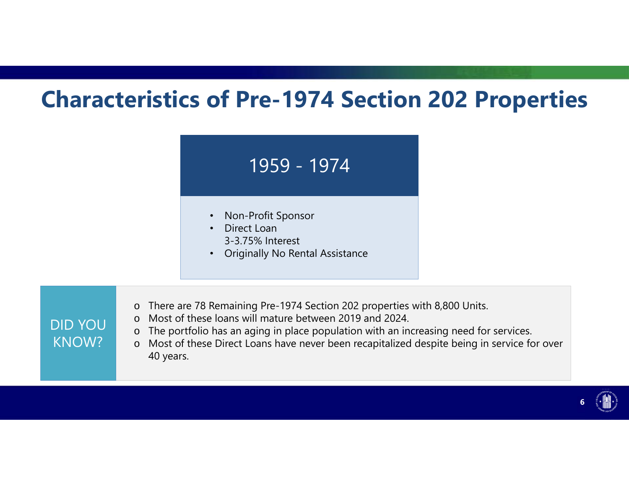## **Characteristics of Pre-1974 Section 202 Properties**

### 1959 - 1974 1974

- Non-Profit Sponsor
- Direct Loan 3-3.75% Interest

DID YOU

KNOW?

- Originally No Rental Assistance
- oThere are 78 Remaining Pre-1974 Section 202 properties with 8,800 Units.
- oMost of these loans will mature between 2019 and 2024.
- oThe portfolio has an aging in place population with an increasing need for services.
- o Most of these Direct Loans have never been recapitalized despite being in service for over 40 years.

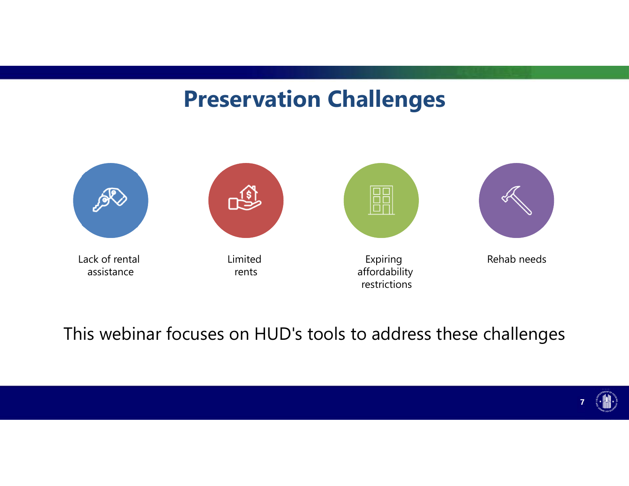### **Preservation Challenges**



This webinar focuses on HUD's tools to address these challenges

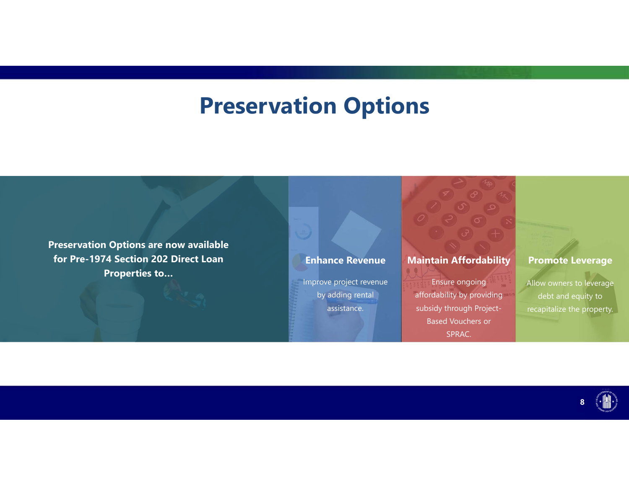## **Preservation Options**

**Preservation Options are now available for Pre-1974 Section 202 Direct Loan Properties to…** 

#### **Enhance Revenue**

Improve project revenue by adding rental assistance.

#### **Maintain Affordability**

Ensure ongoing affordability by providing subsidy through Project-Based Vouchers or SPRAC.

#### **Promote Leverage**

Allow owners to leverage debt and equity to recapitalize the property.

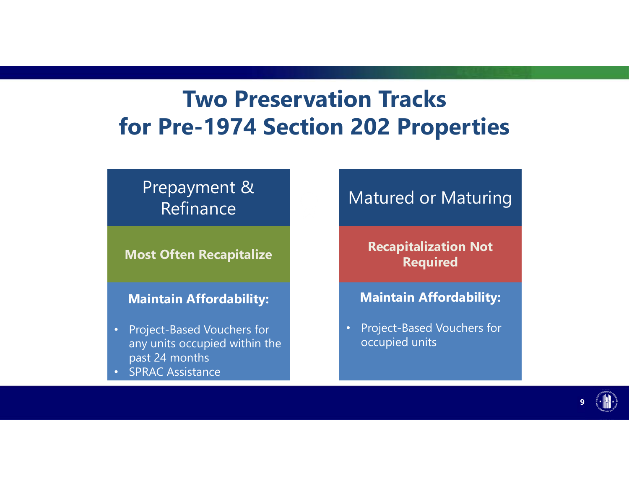## **Two Preservation Tracks for Pre-1974 Section 202 Properties**

### Prepayment & Refinance Refinance

**Most Often Recapitalize Recapitalize** 

### **Maintain Affordability:**

- any units occupied within the l **E 1998 and Security and Security** and Security and Security and Security and Security and Security and Security and Security and Security and Security and Security and Security and Security and Security and Security and S • Project-Based Vouchers for
	- **SPRAC Assistance**

### Matured or Maturing

**Recapitalization Not Required Required** 

### **Maintain Affordability:**

• Project-Based Vouchers for occupied units

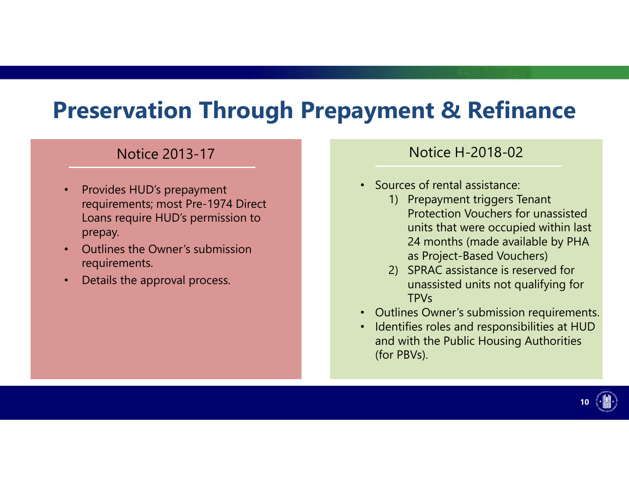## **Preservation Through Prepayment & Refinance**

### Notice 2013-17

- • Provides HUD's prepayment requirements; most Pre-1974 Direct Loans require HUD's permission to prepay.
- • Outlines the Owner's submission requirements.
- •Details the approval process.

### Notice H-2018-02

- Sources of rental assistance:
	- 1) Prepayment triggers Tenant Protection Vouchers for unassisted units that were occupied within last 24 months (made available by PHA as Project-Based Vouchers)
	- 2) SPRAC assistance is reserved for unassisted units not qualifying for TPVs
- Outlines Owner's submission requirements.
- Identifies roles and responsibilities at HUD and with the Public Housing Authorities (for PBVs).

**10**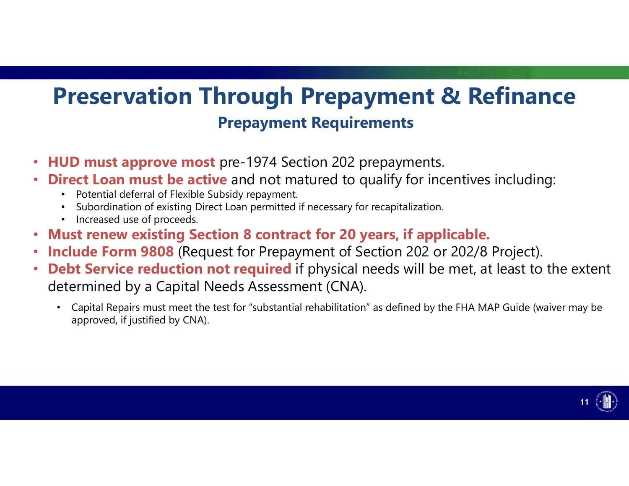## **Preservation Through Prepayment & Refinance Prepayment Requirements**

- •**HUD must approve most** pre-1974 Section 202 prepayments.
- • **Direct Loan must be active** and not matured to qualify for incentives including:
	- Potential deferral of Flexible Subsidy repayment.
	- Subordination of existing Direct Loan permitted if necessary for recapitalization.
	- Increased use of proceeds.
- •**Must renew existing Section 8 contract for 20 years, if applicable.**
- $\bullet$ **Include Form 9808** (Request for Prepayment of Section 202 or 202/8 Project).
- • **Debt Service reduction not required** if physical needs will be met, at least to the extent determined by a Capital Needs Assessment (CNA).
	- Capital Repairs must meet the test for "substantial rehabilitation" as defined by the FHA MAP Guide (waiver may be approved, if justified by CNA).

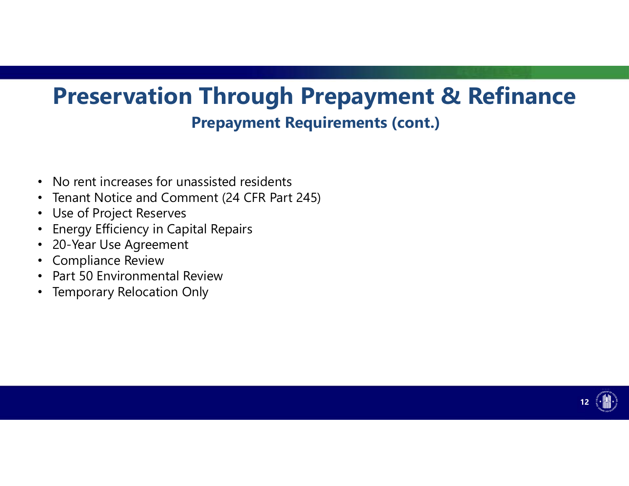## **Preservation Through Prepayment & Refinance Prepayment Requirements (cont.)**

- No rent increases for unassisted residents
- Tenant Notice and Comment (24 CFR Part 245)
- Use of Project Reserves
- Energy Efficiency in Capital Repairs
- 20-Year Use Agreement
- Compliance Review
- Part 50 Environmental Review
- Temporary Relocation Only

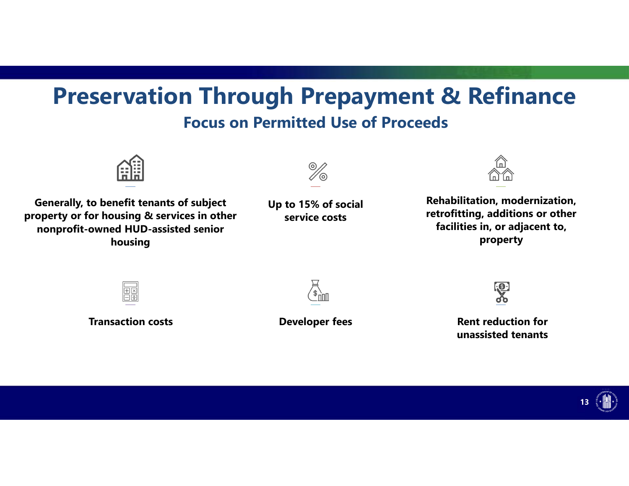### **Preservation Through Prepayment & Refinance Focus on Permitted Use of Proceeds**



Generally, to benefit tenants of subject **Up to 15% of social** Rehabilitation, modernization,<br> **Conecty or for housing & services in other**<br> **Conecty of the Conecty of the Conecty of the Conecty of the Conecty of the Conec property or for housing & services in other service costs retrofitting, additions or other nonprofit-owned HUD-assisted senior housing property** 











**Transaction costs COVID EXECUTE:** Developer fees Rent reduction for **unassisted tenants** 

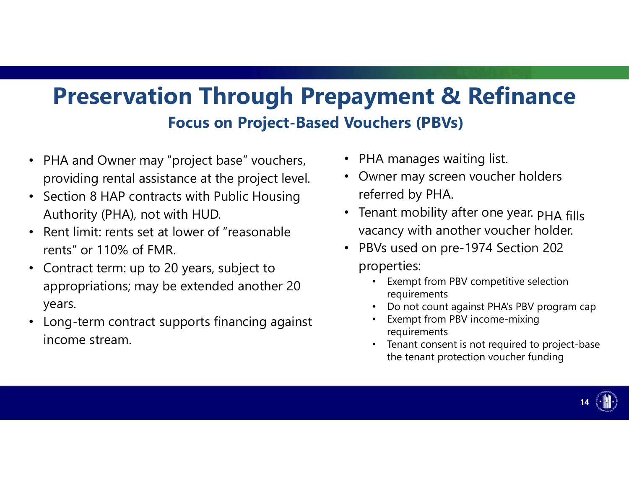## **Preservation Through Prepayment & Refinance Focus on Project-Based Vouchers (PBVs)**

- PHA and Owner may "project base" vouchers, providing rental assistance at the project level.
- $\bullet$  Section 8 HAP contracts with Public Housing Authority (PHA), not with HUD.
- $\bullet$  Rent limit: rents set at lower of "reasonable rents" or 110% of FMR.
- $\bullet$  Contract term: up to 20 years, subject to appropriations; may be extended another 20 years.
- $\bullet$  Long-term contract supports financing against income stream.
- PHA manages waiting list. **1a**
- Owner may screen voucher holders referred by PHA.
- Tenant mobility after one year. PHA fills vacancy with another voucher holder.
- PBVs used on pre-1974 Section 202 properties:
	- Exempt from PBV competitive selection requirements
	- •Do not count against PHA's PBV program cap
	- • Exempt from PBV income-mixing requirements
	- • Tenant consent is not required to project-base the tenant protection voucher funding

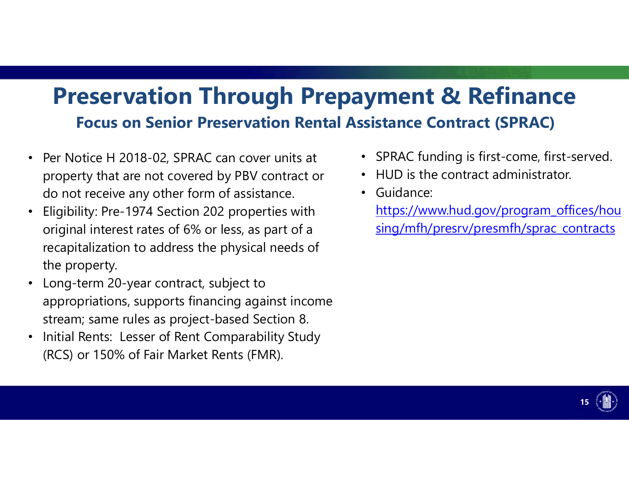## **Preservation Through Prepayment & Refinance Focus on Senior Preservation Rental Assistance Contract (SPRAC)**

- Per Notice H 2018-02, SPRAC can cover units at property that are not covered by PBV contract or do not receive any other form of assistance.
- $\bullet$  Eligibility: Pre-1974 Section 202 properties with original interest rates of 6% or less, as part of a recapitalization to address the physical needs of the property.
- Long-term 20-year contract, subject to appropriations, supports financing against income stream; same rules as project-based Section 8.
- $\bullet$  Initial Rents: Lesser of Rent Comparability Study (RCS) or 150% of Fair Market Rents (FMR).
- SPRAC funding is first-come, first-served.
- HUD is the contract administrator.
- Guidance:
	- https://www.hud.gov/program\_offices/hou sing/mfh/presrv/presmfh/sprac\_contracts

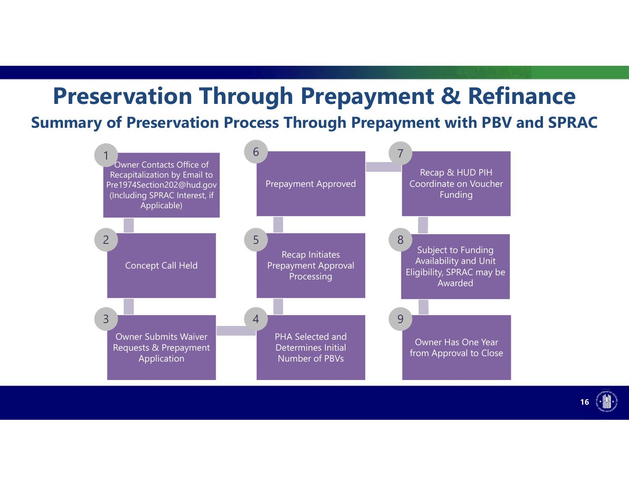### **Preservation Through Prepayment & Refinance Summary of Preservation Process Through Prepayment with PBV and SPRAC**



**16**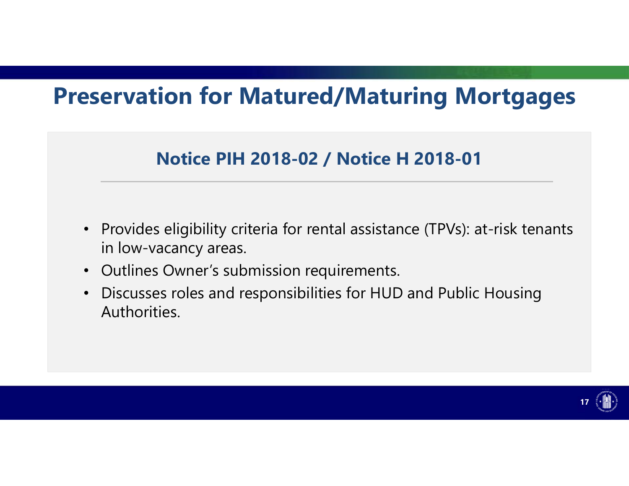## **Preservation for Matured/Maturing Mortgages**

### **Notice PIH 2018-02 / Notice H 2018-01**

- • Provides eligibility criteria for rental assistance (TPVs): at-risk tenants in low-vacancy areas.
- Outlines Owner's submission requirements.
- • Discusses roles and responsibilities for HUD and Public Housing Authorities.

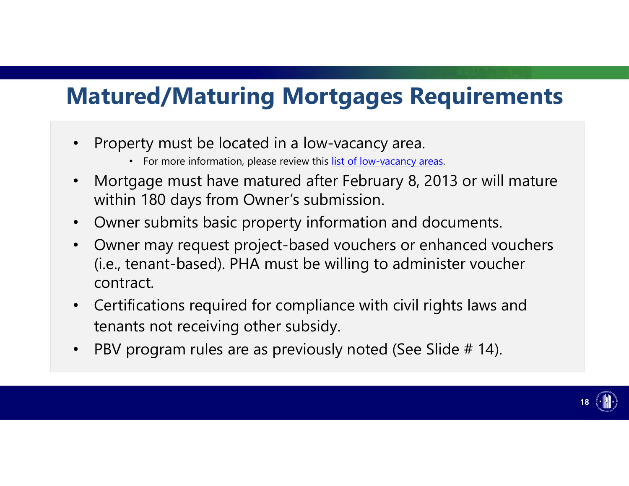## **Matured/Maturing Mortgages Requirements**

- • Property must be located in a low-vacancy area.
	- For more information, please review this list of low-vacancy areas.
- • Mortgage must have matured after February 8, 2013 or will mature within 180 days from Owner's submission.
- Owner submits basic property information and documents.
- Owner may request project-based vouchers or enhanced vouchers (i.e., tenant-based). PHA must be willing to administer voucher contract.
- Certifications required for compliance with civil rights laws and tenants not receiving other subsidy.
- $\bullet$ PBV program rules are as previously noted (See Slide # 14).

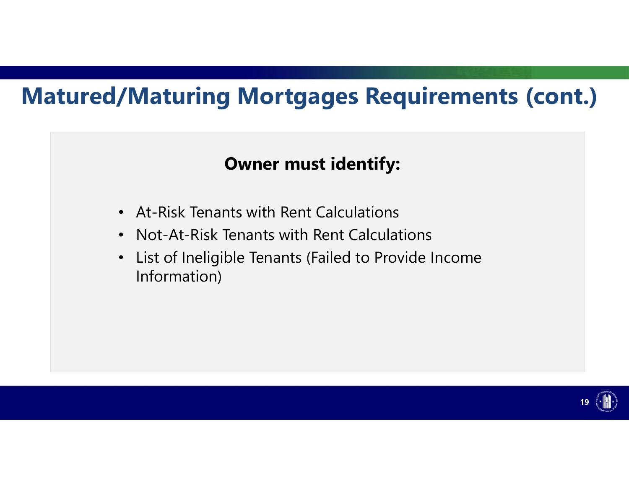## **Matured/Maturing Mortgages Requirements (cont.)**

### **Owner must identify:**

- At-Risk Tenants with Rent Calculations
- Not-At-Risk Tenants with Rent Calculations
- • List of Ineligible Tenants (Failed to Provide Income Information)

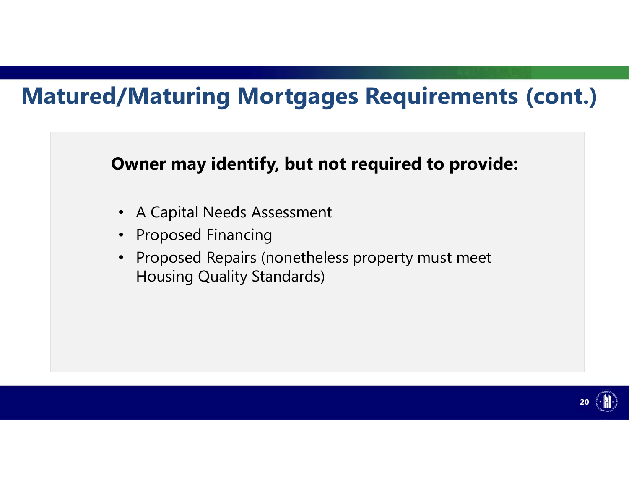## **Matured/Maturing Mortgages Requirements (cont.)**



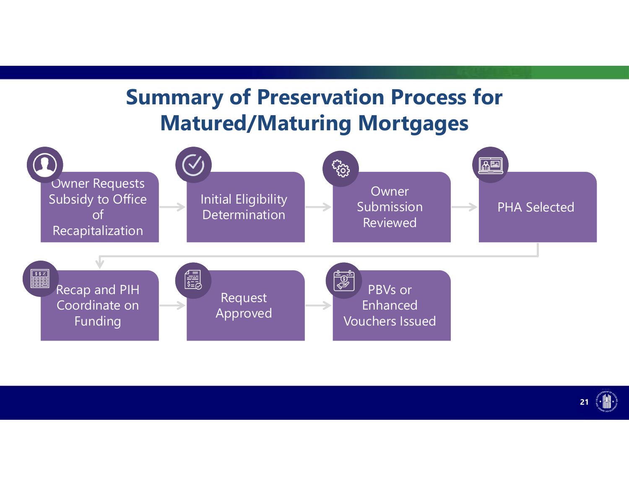### **Summary of Preservation Process for Matured/Maturing Mortgages**



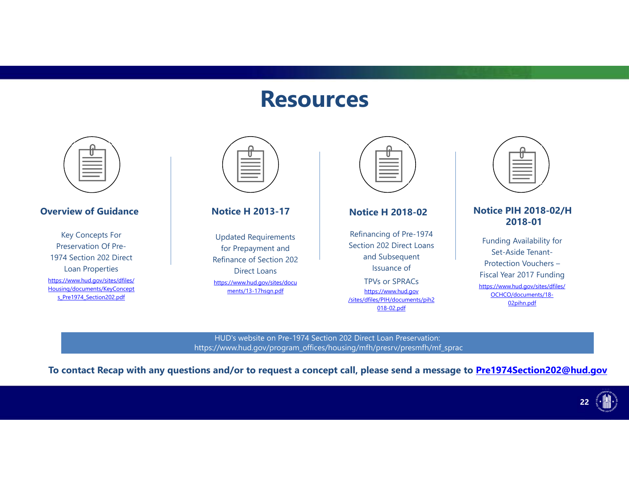### **Resources**



HUD's website on Pre-1974 Section 202 Direct Loan Preservation: https://www.hud.gov/program\_offices/housing/mfh/presrv/presmfh/mf\_sprac

**To contact Recap with any questions and/or to request a concept call, please send a message to Pre1974Section202@hud.gov**